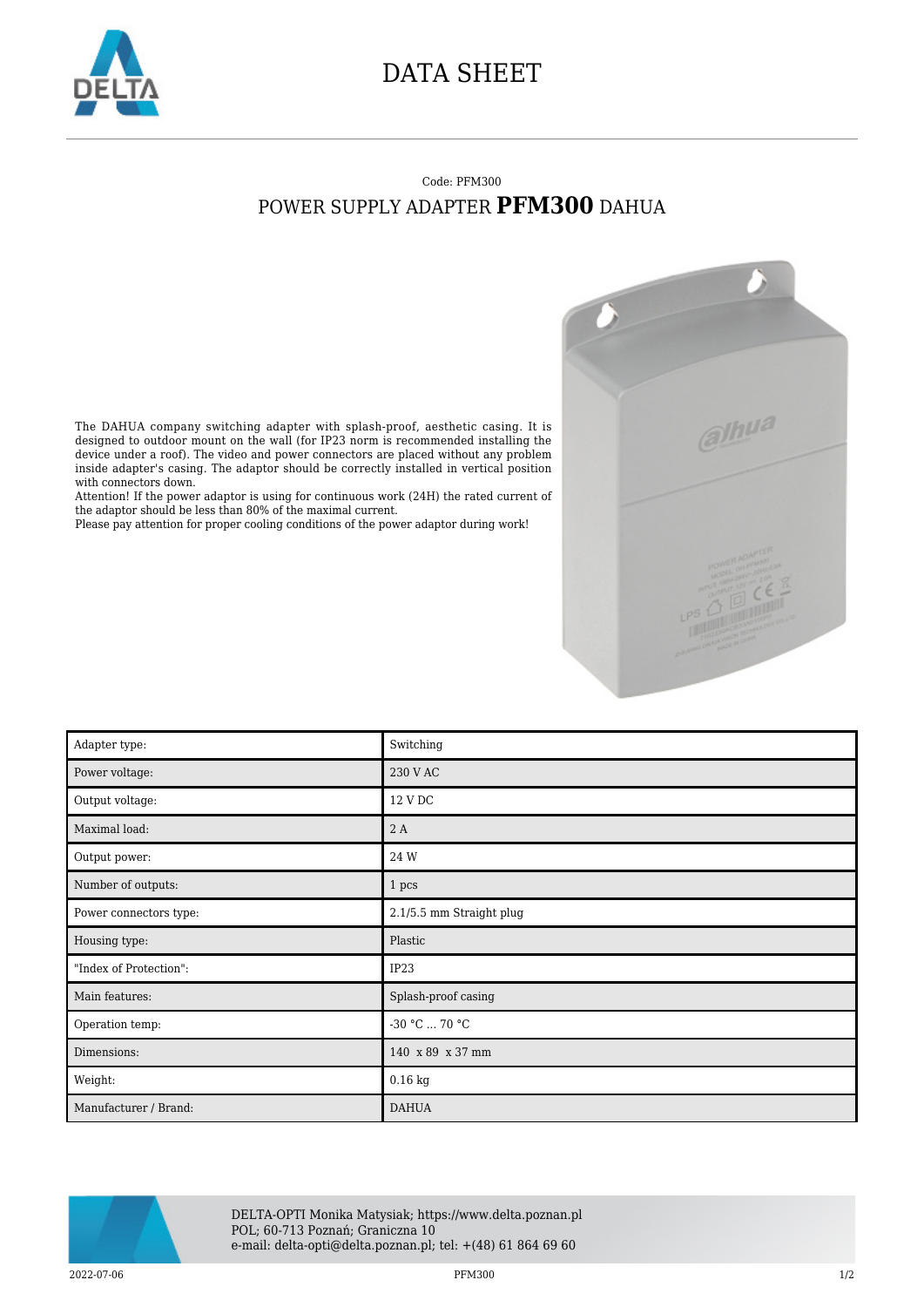

## DATA SHEET

## Code: PFM300 POWER SUPPLY ADAPTER **PFM300** DAHUA



The DAHUA company switching adapter with splash-proof, aesthetic casing. It is designed to outdoor mount on the wall (for IP23 norm is recommended installing the device under a roof). The video and power connectors are placed without any problem inside adapter's casing. The adaptor should be correctly installed in vertical position with connectors down.

Attention! If the power adaptor is using for continuous work (24H) the rated current of the adaptor should be less than 80% of the maximal current.

Please pay attention for proper cooling conditions of the power adaptor during work!

| Adapter type:          | Switching                |
|------------------------|--------------------------|
| Power voltage:         | 230 V AC                 |
| Output voltage:        | 12 V DC                  |
| Maximal load:          | 2 A                      |
| Output power:          | 24 W                     |
| Number of outputs:     | 1 pcs                    |
| Power connectors type: | 2.1/5.5 mm Straight plug |
| Housing type:          | Plastic                  |
| "Index of Protection": | IP23                     |
| Main features:         | Splash-proof casing      |
| Operation temp:        | -30 °C  70 °C            |
| Dimensions:            | 140 x 89 x 37 mm         |
| Weight:                | $0.16$ kg                |
| Manufacturer / Brand:  | <b>DAHUA</b>             |



DELTA-OPTI Monika Matysiak; https://www.delta.poznan.pl POL; 60-713 Poznań; Graniczna 10 e-mail: delta-opti@delta.poznan.pl; tel: +(48) 61 864 69 60